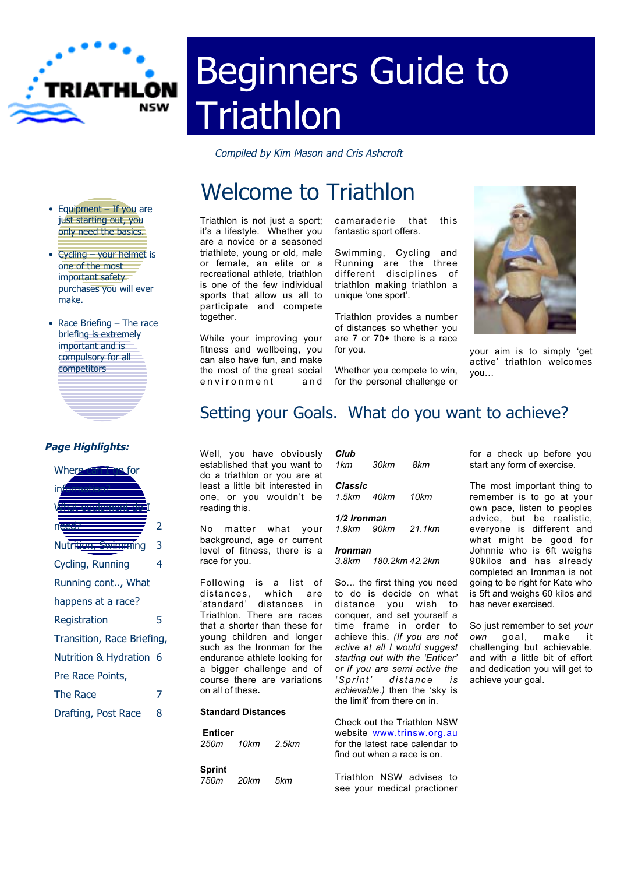

# Beginners Guide to **Triathlon**

Compiled by Kim Mason and Cris Ashcroft

# Welcome to Triathlon

Triathlon is not just a sport; it's a lifestyle. Whether you are a novice or a seasoned triathlete, young or old, male or female, an elite or a recreational athlete, triathlon is one of the few individual sports that allow us all to participate and compete together.

While your improving your fitness and wellbeing, you can also have fun, and make the most of the great social environment and

camaraderie that this fantastic sport offers.

Swimming, Cycling and Running are the three different disciplines of triathlon making triathlon a unique 'one sport'.

Triathlon provides a number of distances so whether you are 7 or 70+ there is a race for you.

Whether you compete to win, for the personal challenge or



your aim is to simply 'get active' triathlon welcomes you…

# Setting your Goals. What do you want to achieve?

Well, you have obviously established that you want to do a triathlon or you are at least a little bit interested in one, or you wouldn't be reading this.

No matter what your background, age or current level of fitness, there is a race for you.

Following is a list of distances, which are 'standard' distances in Triathlon. There are races that a shorter than these for young children and longer such as the Ironman for the endurance athlete looking for a bigger challenge and of course there are variations on all of these**.**

#### **Standard Distances**

| <b>Enticer</b><br>250m 10km 2.5km |      |      | <b>UNECK OUT IT</b><br>website ww<br>for the latest<br>find out wher |
|-----------------------------------|------|------|----------------------------------------------------------------------|
| Sprint<br>750m                    | 20km | .5km | Triathlon N<br>SAA VOUT M                                            |

| Club<br>1 km                                      | 30km       | 8km  |  |  |
|---------------------------------------------------|------------|------|--|--|
| Classic                                           | 1.5km 40km | 10km |  |  |
| 1/2 Ironman<br>21 1 <sub>km</sub><br>1 9km - 90km |            |      |  |  |
| Ironman<br>3.8km 180.2km 42.2km                   |            |      |  |  |

So… the first thing you need to do is decide on what distance you wish to conquer, and set yourself a time frame in order to achieve this. *(If you are not active at all I would suggest starting out with the 'Enticer' or if you are semi active the 'Sprint' distance i s achievable.)* then the 'sky is the limit' from there on in.

Check out the Triathlon NSW w.trinsw.org.au race calendar to n a race is on.

ISW advises to see your medical practioner for a check up before you start any form of exercise.

The most important thing to remember is to go at your own pace, listen to peoples advice, but be realistic, everyone is different and what might be good for Johnnie who is 6ft weighs 90kilos and has already completed an Ironman is not going to be right for Kate who is 5ft and weighs 60 kilos and has never exercised.

So just remember to set *your own* goal, make it challenging but achievable, and with a little bit of effort and dedication you will get to achieve your goal.

• Equipment - If you are just starting out, you only need the basics.

- Cycling your helmet is one of the most important safety purchases you will ever make.
- Race Briefing The race briefing is extremely important and is compulsory for all competitors

#### **Page Highlights:**

| Wher <del>e can Tre</del> e for |   |  |  |  |
|---------------------------------|---|--|--|--|
| inf <del>ormation?</del>        |   |  |  |  |
| <b>Virat equipment de l</b>     |   |  |  |  |
| need?                           | 2 |  |  |  |
| Nutrition, Swimming             | 3 |  |  |  |
| Cycling, Running                | 4 |  |  |  |
| Running cont, What              |   |  |  |  |
| happens at a race?              |   |  |  |  |
| Registration                    | 5 |  |  |  |
| Transition, Race Briefing,      |   |  |  |  |
| Nutrition & Hydration 6         |   |  |  |  |
| Pre Race Points,                |   |  |  |  |
| The Race                        | 7 |  |  |  |
| Drafting, Post Race             | 8 |  |  |  |
|                                 |   |  |  |  |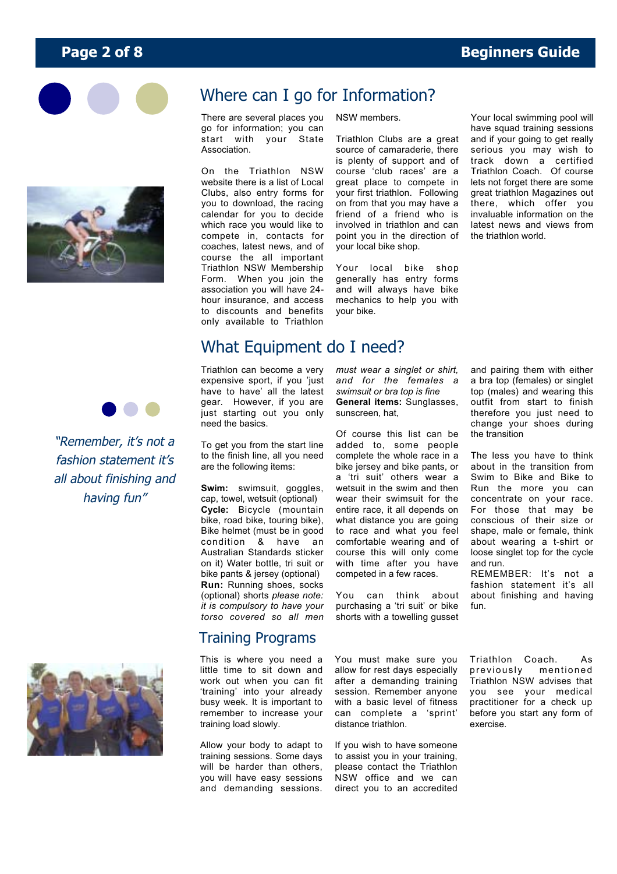



"Remember, it's not a fashion statement it's all about finishing and having fun"



go for information; you can start with your State Association.

On the Triathlon NSW website there is a list of Local Clubs, also entry forms for you to download, the racing calendar for you to decide which race you would like to compete in, contacts for coaches, latest news, and of course the all important Triathlon NSW Membership Form. When you join the association you will have 24 hour insurance, and access to discounts and benefits only available to Triathlon

#### NSW members.

Triathlon Clubs are a great source of camaraderie, there is plenty of support and of course 'club races' are a great place to compete in your first triathlon. Following on from that you may have a friend of a friend who is involved in triathlon and can point you in the direction of your local bike shop.

Your local bike shop generally has entry forms and will always have bike mechanics to help you with your bike.

Your local swimming pool will have squad training sessions and if your going to get really serious you may wish to track down a certified Triathlon Coach. Of course lets not forget there are some great triathlon Magazines out there, which offer you invaluable information on the latest news and views from the triathlon world.

# What Equipment do I need?

Triathlon can become a very expensive sport, if you 'just have to have' all the latest gear. However, if you are just starting out you only need the basics.

To get you from the start line to the finish line, all you need are the following items:

**Swim:** swimsuit, goggles, cap, towel, wetsuit (optional) **Cycle:** Bicycle (mountain bike, road bike, touring bike), Bike helmet (must be in good condition & have an Australian Standards sticker on it) Water bottle, tri suit or bike pants & jersey (optional) **Run:** Running shoes, socks (optional) shorts *please note: it is compulsory to have your torso covered so all men*

#### Training Programs

This is where you need a little time to sit down and work out when you can fit 'training' into your already busy week. It is important to remember to increase your training load slowly.

Allow your body to adapt to training sessions. Some days will be harder than others. you will have easy sessions and demanding sessions. *must wear a singlet or shirt, and for the females a swimsuit or bra top is fine* **General items:** Sunglasses, sunscreen, hat,

Of course this list can be added to, some people complete the whole race in a bike jersey and bike pants, or a 'tri suit' others wear a watsuit in the swim and then wear their swimsuit for the entire race, it all depends on what distance you are going to race and what you feel comfortable wearing and of course this will only come with time after you have competed in a few races.

You can think about purchasing a 'tri suit' or bike shorts with a towelling gusset

You must make sure you allow for rest days especially after a demanding training session. Remember anyone with a basic level of fitness can complete a 'sprint'

If you wish to have someone to assist you in your training, please contact the Triathlon NSW office and we can direct you to an accredited

distance triathlon.

and pairing them with either a bra top (females) or singlet top (males) and wearing this outfit from start to finish therefore you just need to change your shoes during the transition

The less you have to think about in the transition from Swim to Bike and Bike to Run the more you can concentrate on your race. For those that may be conscious of their size or shape, male or female, think about wearing a t-shirt or loose singlet top for the cycle and run.

REMEMBER: It's not a fashion statement it's all about finishing and having fun.

Triathlon Coach. As previously mentioned Triathlon NSW advises that you see your medical practitioner for a check up before you start any form of exercise.

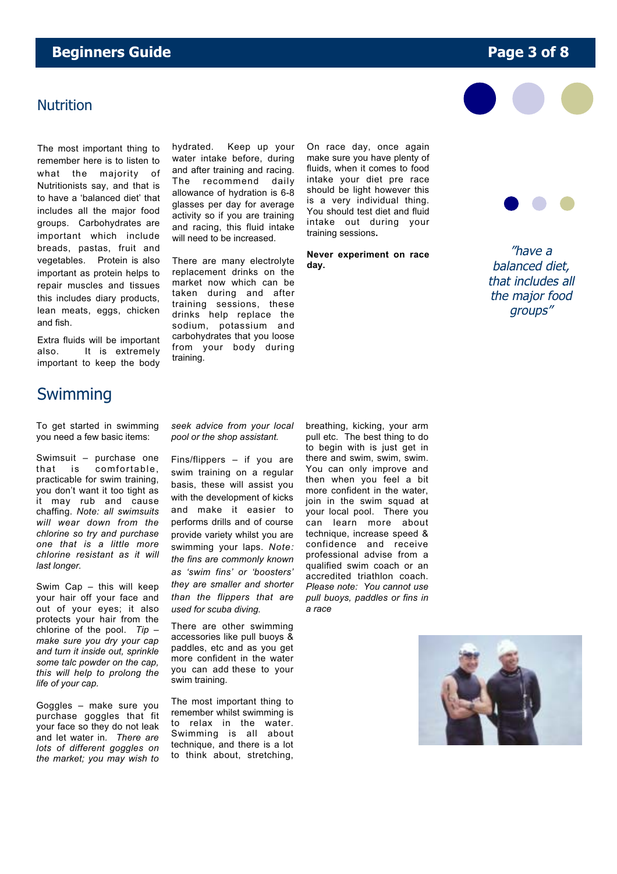### **Beginners Guide Page 3 of 8**

#### **Nutrition**

The most important thing to remember here is to listen to what the majority of Nutritionists say, and that is to have a 'balanced diet' that includes all the major food groups. Carbohydrates are important which include breads, pastas, fruit and vegetables. Protein is also important as protein helps to repair muscles and tissues this includes diary products, lean meats, eggs, chicken and fish.

hydrated. Keep up your water intake before, during and after training and racing. The recommend daily allowance of hydration is 6-8 glasses per day for average activity so if you are training and racing, this fluid intake will need to be increased.

There are many electrolyte replacement drinks on the market now which can be taken during and after training sessions, these drinks help replace the sodium, potassium and carbohydrates that you loose from your body during training.

On race day, once again make sure you have plenty of fluids, when it comes to food intake your diet pre race should be light however this is a very individual thing. You should test diet and fluid intake out during your training sessions**.**

**Never experiment on race day.**





"have a balanced diet, that includes all the major food groups"

Extra fluids will be important also. It is extremely important to keep the body

# Swimming

To get started in swimming you need a few basic items:

Swimsuit – purchase one that is comfortable, practicable for swim training, you don't want it too tight as it may rub and cause chaffing. *Note: all swimsuits will wear down from the chlorine so try and purchase one that is a little more chlorine resistant as it will last longer.*

Swim Cap – this will keep your hair off your face and out of your eyes; it also protects your hair from the chlorine of the pool. *Tip – make sure you dry your cap and turn it inside out, sprinkle some talc powder on the cap, this will help to prolong the life of your cap.*

Goggles – make sure you purchase goggles that fit your face so they do not leak and let water in*. There are lots of different goggles on the market; you may wish to* *seek advice from your local pool or the shop assistant.*

Fins/flippers – if you are swim training on a regular basis, these will assist you with the development of kicks and make it easier to performs drills and of course provide variety whilst you are swimming your laps. *Note: the fins are commonly known as 'swim fins' or 'boosters' they are smaller and shorter than the flippers that are used for scuba diving.*

There are other swimming accessories like pull buoys & paddles, etc and as you get more confident in the water you can add these to your swim training.

The most important thing to remember whilst swimming is to relax in the water. Swimming is all about technique, and there is a lot to think about, stretching, breathing, kicking, your arm pull etc. The best thing to do to begin with is just get in there and swim, swim, swim. You can only improve and then when you feel a bit more confident in the water, join in the swim squad at your local pool. There you can learn more about technique, increase speed & confidence and receive professional advise from a qualified swim coach or an accredited triathlon coach. *Please note: You cannot use pull buoys, paddles or fins in a race*

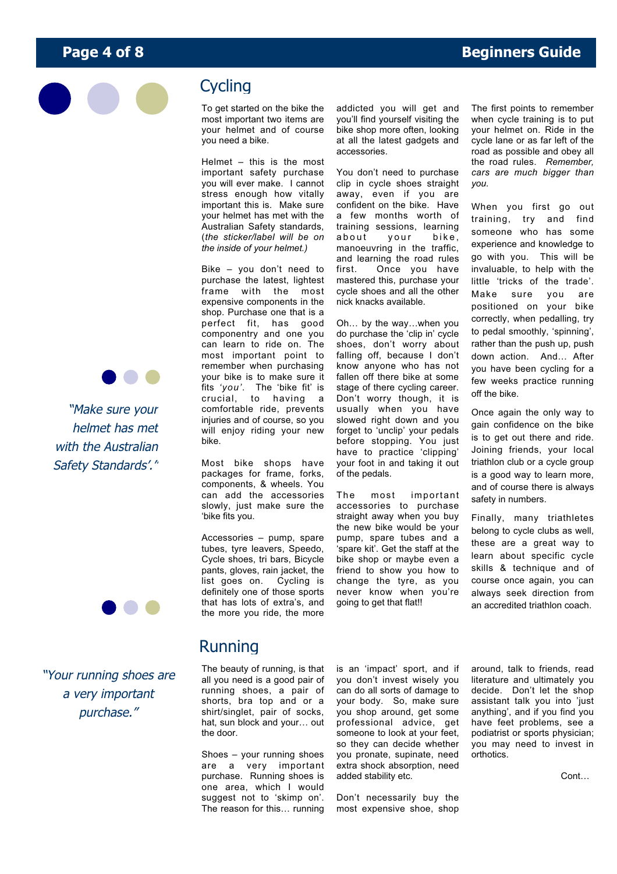

# **Cycling**

To get started on the bike the most important two items are your helmet and of course you need a bike.

Helmet – this is the most important safety purchase you will ever make. I cannot stress enough how vitally important this is. Make sure your helmet has met with the Australian Safety standards, (*the sticker/label will be on the inside of your helmet.)*

Bike – you don't need to purchase the latest, lightest frame with the most expensive components in the shop. Purchase one that is a perfect fit, has good componentry and one you can learn to ride on. The most important point to remember when purchasing your bike is to make sure it fits *'you'.* The 'bike fit' is crucial, to having a comfortable ride, prevents injuries and of course, so you will enjoy riding your new bike.

Most bike shops have packages for frame, forks, components, & wheels. You can add the accessories slowly, just make sure the 'bike fits you.

Accessories – pump, spare tubes, tyre leavers, Speedo, Cycle shoes, tri bars, Bicycle pants, gloves, rain jacket, the list goes on. Cycling is definitely one of those sports that has lots of extra's, and the more you ride, the more addicted you will get and you'll find yourself visiting the bike shop more often, looking at all the latest gadgets and accessories.

You don't need to purchase clip in cycle shoes straight away, even if you are confident on the bike. Have a few months worth of training sessions, learning about your bike, manoeuvring in the traffic, and learning the road rules<br>first. Once you have Once you have mastered this, purchase your cycle shoes and all the other nick knacks available.

Oh… by the way…when you do purchase the 'clip in' cycle shoes, don't worry about falling off, because I don't know anyone who has not fallen off there bike at some stage of there cycling career. Don't worry though, it is usually when you have slowed right down and you forget to 'unclip' your pedals before stopping. You just have to practice 'clipping' your foot in and taking it out of the pedals.

The most important accessories to purchase straight away when you buy the new bike would be your pump, spare tubes and a 'spare kit'. Get the staff at the bike shop or maybe even a friend to show you how to change the tyre, as you never know when you're going to get that flat!!

The first points to remember when cycle training is to put your helmet on. Ride in the cycle lane or as far left of the road as possible and obey all the road rules. *Remember, cars are much bigger than you.*

When you first go out training, try and find someone who has some experience and knowledge to go with you. This will be invaluable, to help with the little 'tricks of the trade'. Make sure you are positioned on your bike correctly, when pedalling, try to pedal smoothly, 'spinning', rather than the push up, push down action. And… After you have been cycling for a few weeks practice running off the bike.

Once again the only way to gain confidence on the bike is to get out there and ride. Joining friends, your local triathlon club or a cycle group is a good way to learn more, and of course there is always safety in numbers.

Finally, many triathletes belong to cycle clubs as well, these are a great way to learn about specific cycle skills & technique and of course once again, you can always seek direction from an accredited triathlon coach.

"Make sure your helmet has met with the Australian Safety Standards'."

"Your running shoes are a very important purchase."

# Running

The beauty of running, is that all you need is a good pair of running shoes, a pair of shorts, bra top and or a shirt/singlet, pair of socks, hat, sun block and your… out the door.

Shoes – your running shoes are a very important purchase. Running shoes is one area, which I would suggest not to 'skimp on'. The reason for this… running is an 'impact' sport, and if you don't invest wisely you can do all sorts of damage to your body. So, make sure you shop around, get some professional advice, get someone to look at your feet, so they can decide whether you pronate, supinate, need extra shock absorption, need added stability etc.

Don't necessarily buy the most expensive shoe, shop

around, talk to friends, read literature and ultimately you decide. Don't let the shop assistant talk you into 'just anything', and if you find you have feet problems, see a podiatrist or sports physician; you may need to invest in orthotics.

Cont…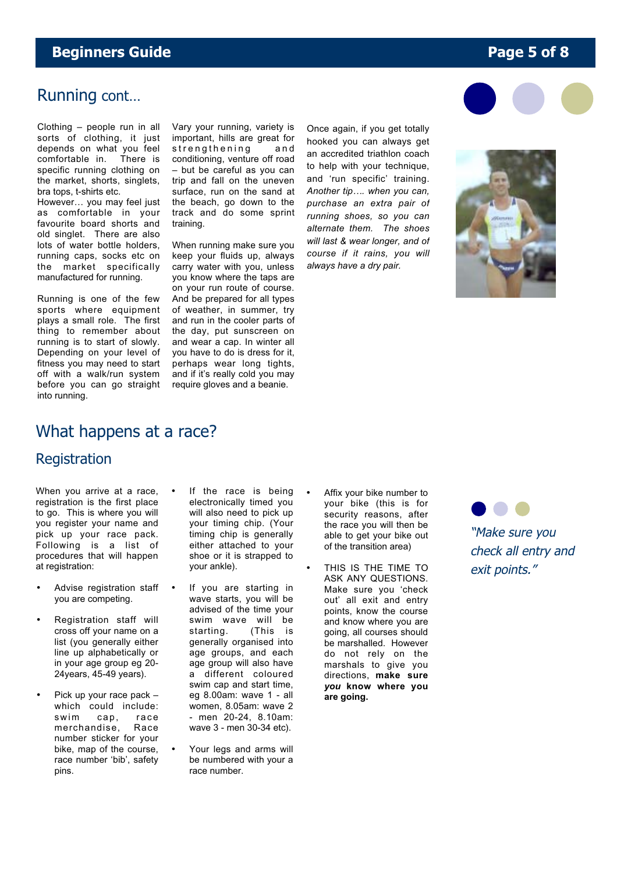### **Beginners Guide Page 5 of 8**

## Running cont…

Clothing – people run in all sorts of clothing, it just depends on what you feel comfortable in. There is specific running clothing on the market, shorts, singlets, bra tops, t-shirts etc.

However… you may feel just as comfortable in your favourite board shorts and old singlet. There are also lots of water bottle holders, running caps, socks etc on the market specifically manufactured for running.

Running is one of the few sports where equipment plays a small role. The first thing to remember about running is to start of slowly. Depending on your level of fitness you may need to start off with a walk/run system before you can go straight into running.

Vary your running, variety is important, hills are great for strengthening and conditioning, venture off road – but be careful as you can trip and fall on the uneven surface, run on the sand at the beach, go down to the track and do some sprint training.

When running make sure you keep your fluids up, always carry water with you, unless you know where the taps are on your run route of course. And be prepared for all types of weather, in summer, try and run in the cooler parts of the day, put sunscreen on and wear a cap. In winter all you have to do is dress for it, perhaps wear long tights, and if it's really cold you may require gloves and a beanie.

Once again, if you get totally hooked you can always get an accredited triathlon coach to help with your technique, and 'run specific' training. *Another tip…. when you can, purchase an extra pair of running shoes, so you can alternate them. The shoes will last & wear longer, and of course if it rains, you will always have a dry pair.*





### What happens at a race?

#### **Registration**

When you arrive at a race, registration is the first place to go. This is where you will you register your name and pick up your race pack. Following is a list of procedures that will happen at registration:

- Advise registration staff you are competing.
- Registration staff will cross off your name on a list (you generally either line up alphabetically or in your age group eg 20- 24years, 45-49 years).
- Pick up your race pack which could include: swim cap, race merchandise, Race number sticker for your bike, map of the course, race number 'bib', safety pins.
- If the race is being electronically timed you will also need to pick up your timing chip. (Your timing chip is generally either attached to your shoe or it is strapped to your ankle).
- If you are starting in wave starts, you will be advised of the time your swim wave will be starting. (This is generally organised into age groups, and each age group will also have a different coloured swim cap and start time, eg 8.00am: wave 1 - all women, 8.05am: wave 2 - men 20-24, 8.10am: wave 3 - men 30-34 etc).
- Your legs and arms will be numbered with your a race number.
- Affix your bike number to your bike (this is for security reasons, after the race you will then be able to get your bike out of the transition area)
- THIS IS THE TIME TO ASK ANY QUESTIONS. Make sure you 'check out' all exit and entry points, know the course and know where you are going, all courses should be marshalled. However do not rely on the marshals to give you directions, **make sure** *you* **know where you are going.**

"Make sure you check all entry and exit points."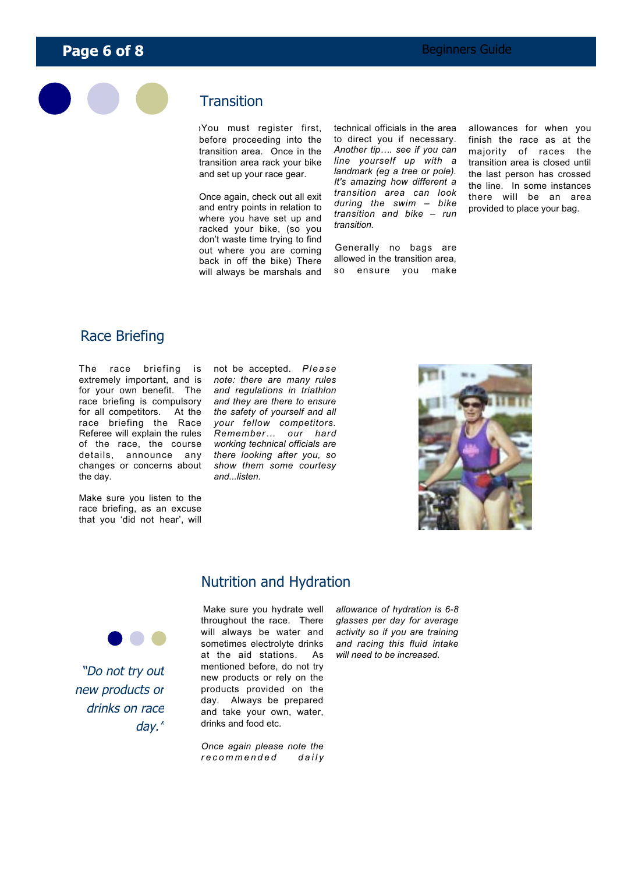

#### **Transition**

oYou must register first, before proceeding into the transition area. Once in the transition area rack your bike and set up your race gear.

Once again, check out all exit and entry points in relation to where you have set up and racked your bike, (so you don't waste time trying to find out where you are coming back in off the bike) There will always be marshals and technical officials in the area to direct you if necessary. *Another tip…. see if you can line yourself up with a landmark (eg a tree or pole). It's amazing how different a transition area can look during the swim – bike transition and bike – run transition.*

Generally no bags are allowed in the transition area, so ensure you make

allowances for when you finish the race as at the majority of races the transition area is closed until the last person has crossed the line. In some instances there will be an area provided to place your bag.

#### Race Briefing

The race briefing is extremely important, and is for your own benefit. The race briefing is compulsory for all competitors. At the race briefing the Race Referee will explain the rules of the race, the course details, announce any changes or concerns about the day.

Make sure you listen to the race briefing, as an excuse that you 'did not hear', will

not be accepted. *Please note: there are many rules and regulations in triathlon and they are there to ensure the safety of yourself and all your fellow competitors. Remember… our hard working technical officials are there looking after you, so show them some courtesy and...listen.*



#### Nutrition and Hydration

"Do not try out new products or drinks on race day."

Make sure you hydrate well throughout the race. There will always be water and sometimes electrolyte drinks at the aid stations. As mentioned before, do not try new products or rely on the products provided on the day. Always be prepared and take your own, water, drinks and food etc*.*

*Once again please note the recommended dail y* *allowance of hydration is 6-8 glasses per day for average activity so if you are training and racing this fluid intake will need to be increased.*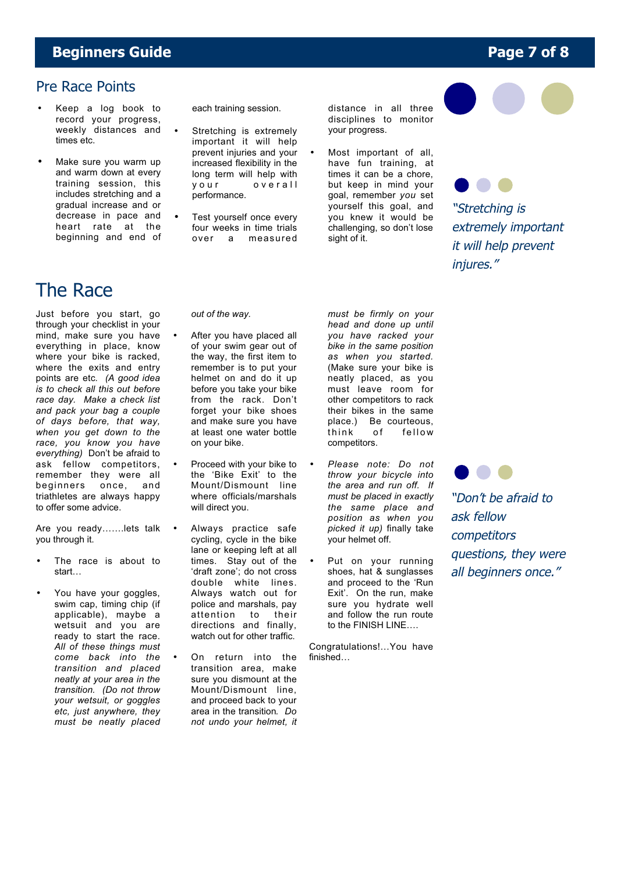### **Beginners Guide Page 7 of 8**

#### Pre Race Points

- Keep a log book to record your progress, weekly distances and times etc.
- Make sure you warm up and warm down at every training session, this includes stretching and a gradual increase and or decrease in pace and heart rate at the beginning and end of

each training session.

- Stretching is extremely important it will help prevent injuries and your increased flexibility in the long term will help with your overall performance.
- Test yourself once every four weeks in time trials over a measured

distance in all three disciplines to monitor your progress.

Most important of all, have fun training, at times it can be a chore, but keep in mind your goal, remember *you* set yourself this goal, and you knew it would be challenging, so don't lose sight of it.





"Stretching is extremely important it will help prevent injures."

# The Race

Just before you start, go through your checklist in your mind, make sure you have everything in place, know where your bike is racked, where the exits and entry points are etc*. (A good idea is to check all this out before race day. Make a check list and pack your bag a couple of days before, that way, when you get down to the race, you know you have everything)* Don't be afraid to ask fellow competitors, remember they were all beginners once, and triathletes are always happy to offer some advice.

Are you ready…….lets talk • you through it.

- The race is about to start…
- You have your goggles, swim cap, timing chip (if applicable), maybe a wetsuit and you are ready to start the race. *All of these things must come back into the transition and placed neatly at your area in the transition. (Do not throw your wetsuit, or goggles etc, just anywhere, they must be neatly placed*

*out of the way.*

- After you have placed all of your swim gear out of the way, the first item to remember is to put your helmet on and do it up before you take your bike from the rack. Don't forget your bike shoes and make sure you have at least one water bottle on your bike.
- Proceed with your bike to the 'Bike Exit' to the Mount/Dismount line where officials/marshals will direct you.
- Always practice safe cycling, cycle in the bike lane or keeping left at all times. Stay out of the 'draft zone'; do not cross double white lines. Always watch out for police and marshals, pay attention to their directions and finally, watch out for other traffic.
- On return into the transition area, make sure you dismount at the Mount/Dismount line, and proceed back to your area in the transition*. Do not undo your helmet, it*

*must be firmly on your head and done up until you have racked your bike in the same position as when you started.* (Make sure your bike is neatly placed, as you must leave room for other competitors to rack their bikes in the same place.) Be courteous,<br>think of fellow fellow competitors.

- *Please note: Do not throw your bicycle into the area and run off. If must be placed in exactly the same place and position as when you picked it up)* finally take your helmet off.
- Put on your running shoes, hat & sunglasses and proceed to the 'Run Exit'. On the run, make sure you hydrate well and follow the run route to the FINISH LINE….

Congratulations!…You have finished…

"Don't be afraid to ask fellow competitors questions, they were all beginners once."